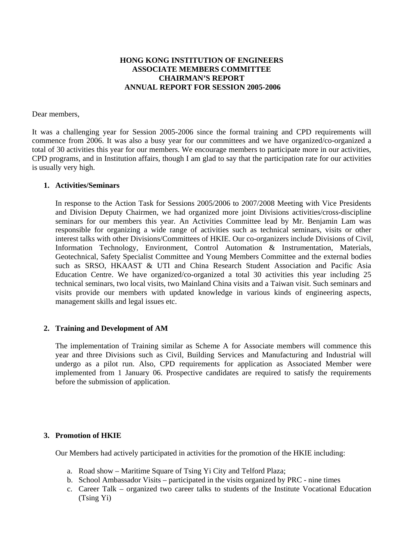# **HONG KONG INSTITUTION OF ENGINEERS ASSOCIATE MEMBERS COMMITTEE CHAIRMAN'S REPORT ANNUAL REPORT FOR SESSION 2005-2006**

#### Dear members,

It was a challenging year for Session 2005-2006 since the formal training and CPD requirements will commence from 2006. It was also a busy year for our committees and we have organized/co-organized a total of 30 activities this year for our members. We encourage members to participate more in our activities, CPD programs, and in Institution affairs, though I am glad to say that the participation rate for our activities is usually very high.

### **1. Activities/Seminars**

In response to the Action Task for Sessions 2005/2006 to 2007/2008 Meeting with Vice Presidents and Division Deputy Chairmen, we had organized more joint Divisions activities/cross-discipline seminars for our members this year. An Activities Committee lead by Mr. Benjamin Lam was responsible for organizing a wide range of activities such as technical seminars, visits or other interest talks with other Divisions/Committees of HKIE. Our co-organizers include Divisions of Civil, Information Technology, Environment, Control Automation & Instrumentation, Materials, Geotechnical, Safety Specialist Committee and Young Members Committee and the external bodies such as SRSO, HKAAST & UTI and China Research Student Association and Pacific Asia Education Centre. We have organized/co-organized a total 30 activities this year including 25 technical seminars, two local visits, two Mainland China visits and a Taiwan visit. Such seminars and visits provide our members with updated knowledge in various kinds of engineering aspects, management skills and legal issues etc.

## **2. Training and Development of AM**

The implementation of Training similar as Scheme A for Associate members will commence this year and three Divisions such as Civil, Building Services and Manufacturing and Industrial will undergo as a pilot run. Also, CPD requirements for application as Associated Member were implemented from 1 January 06. Prospective candidates are required to satisfy the requirements before the submission of application.

#### **3. Promotion of HKIE**

Our Members had actively participated in activities for the promotion of the HKIE including:

- a. Road show Maritime Square of Tsing Yi City and Telford Plaza;
- b. School Ambassador Visits participated in the visits organized by PRC nine times
- c. Career Talk organized two career talks to students of the Institute Vocational Education (Tsing Yi)